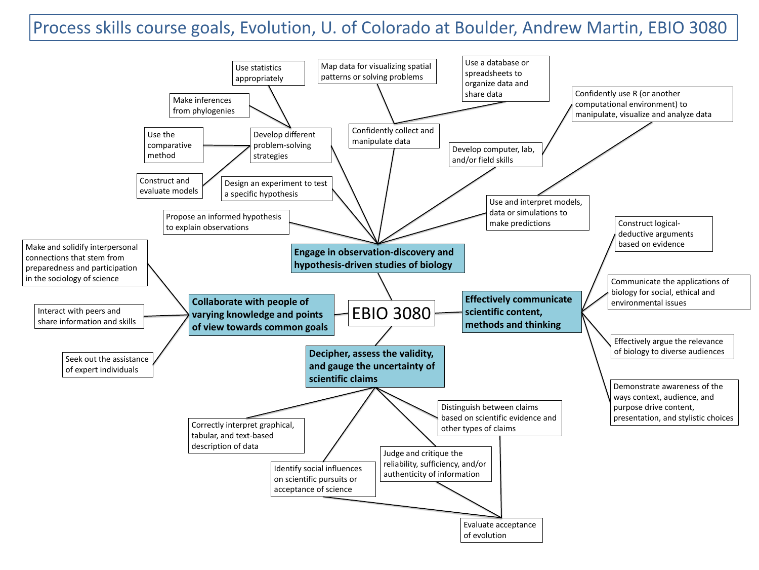

## Process skills course goals, Evolution, U. of Colorado at Boulder, Andrew Martin, EBIO 3080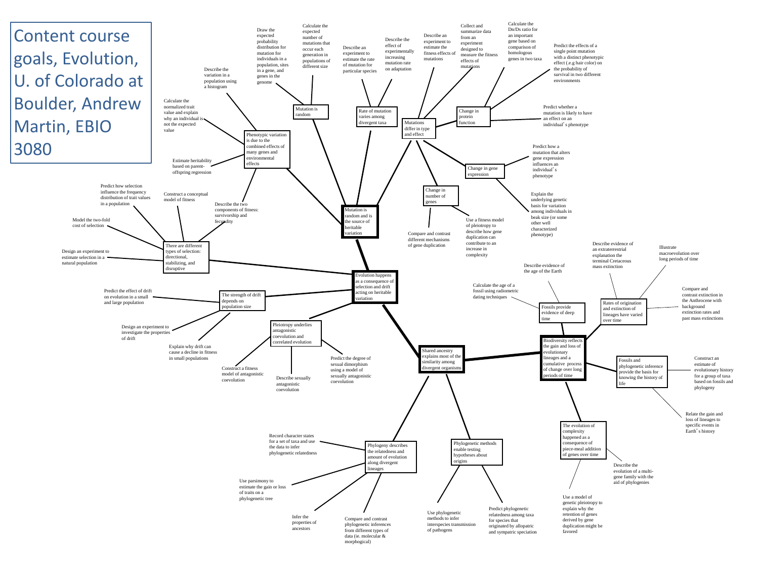morphogical)



Content course goals, Evolution, U. of Colorado at Boulder, Andrew Martin, EBIO 3080